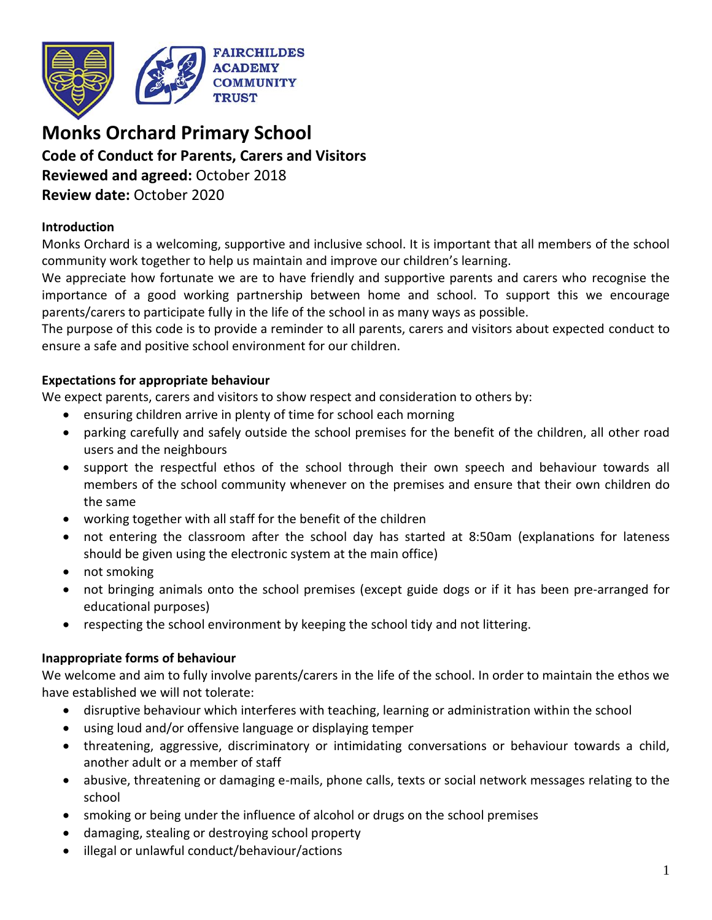

# **Monks Orchard Primary School**

# **Code of Conduct for Parents, Carers and Visitors**

**Reviewed and agreed:** October 2018 **Review date:** October 2020

#### **Introduction**

Monks Orchard is a welcoming, supportive and inclusive school. It is important that all members of the school community work together to help us maintain and improve our children's learning.

We appreciate how fortunate we are to have friendly and supportive parents and carers who recognise the importance of a good working partnership between home and school. To support this we encourage parents/carers to participate fully in the life of the school in as many ways as possible.

The purpose of this code is to provide a reminder to all parents, carers and visitors about expected conduct to ensure a safe and positive school environment for our children.

#### **Expectations for appropriate behaviour**

We expect parents, carers and visitors to show respect and consideration to others by:

- ensuring children arrive in plenty of time for school each morning
- parking carefully and safely outside the school premises for the benefit of the children, all other road users and the neighbours
- support the respectful ethos of the school through their own speech and behaviour towards all members of the school community whenever on the premises and ensure that their own children do the same
- working together with all staff for the benefit of the children
- not entering the classroom after the school day has started at 8:50am (explanations for lateness should be given using the electronic system at the main office)
- not smoking
- not bringing animals onto the school premises (except guide dogs or if it has been pre-arranged for educational purposes)
- respecting the school environment by keeping the school tidy and not littering.

## **Inappropriate forms of behaviour**

We welcome and aim to fully involve parents/carers in the life of the school. In order to maintain the ethos we have established we will not tolerate:

- disruptive behaviour which interferes with teaching, learning or administration within the school
- using loud and/or offensive language or displaying temper
- threatening, aggressive, discriminatory or intimidating conversations or behaviour towards a child, another adult or a member of staff
- abusive, threatening or damaging e-mails, phone calls, texts or social network messages relating to the school
- smoking or being under the influence of alcohol or drugs on the school premises
- damaging, stealing or destroying school property
- illegal or unlawful conduct/behaviour/actions